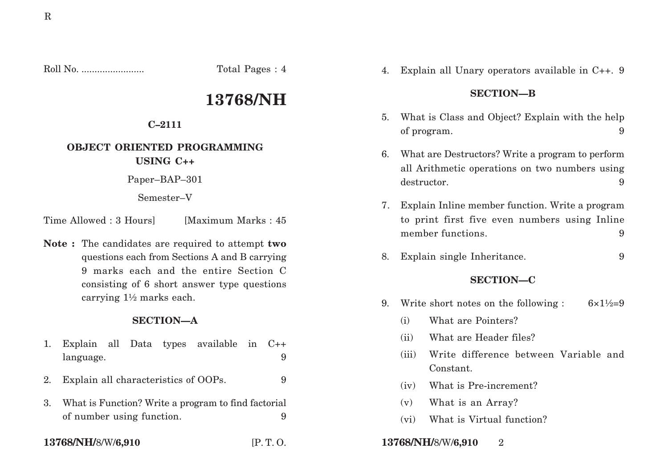Roll No. ........................ Total Pages : 4

# **13768/NH**

## **C–2111**

# **OBJECT ORIENTED PROGRAMMING**

**USING C++**

Paper–BAP–301

Semester–V

Time Allowed : 3 Hours [Maximum Marks : 45]

**Note :** The candidates are required to attempt **two** questions each from Sections A and B carrying 9 marks each and the entire Section C consisting of 6 short answer type questions carrying 1½ marks each.

# **SECTION—A**

- 1. Explain all Data types available in C++ language. 9
- 2. Explain all characteristics of OOPs. 9
- 3. What is Function? Write a program to find factorial of number using function. 9

4. Explain all Unary operators available in C++. 9

# **SECTION—B**

- 5. What is Class and Object? Explain with the help of program. 9
- 6. What are Destructors? Write a program to perform all Arithmetic operations on two numbers using destructor. 9
- 7. Explain Inline member function. Write a program to print first five even numbers using Inline member functions. 9
- 8. Explain single Inheritance. 9

# **SECTION—C**

- 9. Write short notes on the following :  $6 \times 1\frac{1}{2} = 9$ 
	- (i) What are Pointers?
	- (ii) What are Header files?
	- (iii) Write difference between Variable and Constant.
	- (iv) What is Pre-increment?
	- (v) What is an Array?
	- (vi) What is Virtual function?
- **13768/NH/**8/W/**6,910** [P. T. O. **13768/NH/**8/W/**6,910** 2